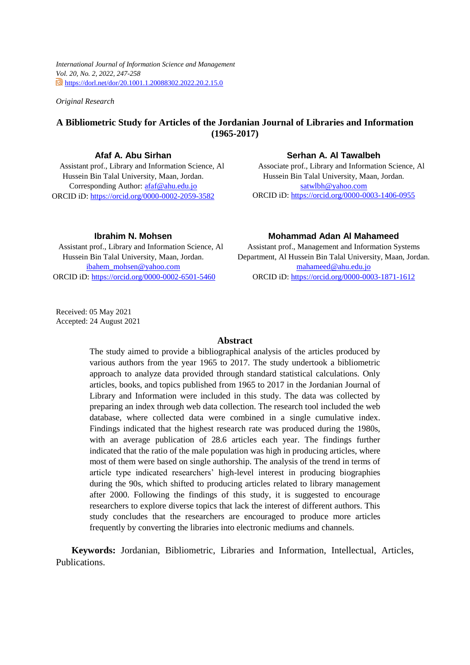*International Journal of Information Science and Management Vol. 20, No. 2, 2022, 247-258* @https://dorl.net/dor/20.1001.1.20088302.2022.20.2.15.0

*Original Research* 

# **A Bibliometric Study for Articles of the Jordanian Journal of Libraries and Information (1965-2017)**

## **Afaf A. Abu Sirhan**

Assistant prof., Library and Information Science, Al Hussein Bin Talal University, Maan, Jordan. Corresponding Author: [afaf@ahu.edu.jo](mailto:afaf@ahu.edu.jo)  ORCID iD[: https://orcid.org/0000-0002-2059-3582](https://orcid.org/0000-0002-2059-3582)

## **Serhan A. Al Tawalbeh**

Associate prof., Library and Information Science, Al Hussein Bin Talal University, Maan, Jordan. [satwlbh@yahoo.com](mailto:satwlbh@yahoo.com) ORCID iD:<https://orcid.org/0000-0003-1406-0955>

#### **Ibrahim N. Mohsen**

Assistant prof., Library and Information Science, Al Hussein Bin Talal University, Maan, Jordan. [ibahem\\_mohsen@yahoo.com](mailto:ibahem_mohsen@yahoo.com) ORCID iD:<https://orcid.org/0000-0002-6501-5460>

### **Mohammad Adan Al Mahameed**

Assistant prof., Management and Information Systems Department, Al Hussein Bin Talal University, Maan, Jordan. [mahameed@ahu.edu.jo](mailto:mahameed@ahu.edu.jo)  ORCID iD: [https://orcid.org/0000-0003-1871-1612](https://orcid.org/0000-0003-3244-3255)

Received: 05 May 2021 Accepted: 24 August 2021

## **Abstract**

The study aimed to provide a bibliographical analysis of the articles produced by various authors from the year 1965 to 2017. The study undertook a bibliometric approach to analyze data provided through standard statistical calculations. Only articles, books, and topics published from 1965 to 2017 in the Jordanian Journal of Library and Information were included in this study. The data was collected by preparing an index through web data collection. The research tool included the web database, where collected data were combined in a single cumulative index. Findings indicated that the highest research rate was produced during the 1980s, with an average publication of 28.6 articles each year. The findings further indicated that the ratio of the male population was high in producing articles, where most of them were based on single authorship. The analysis of the trend in terms of article type indicated researchers' high-level interest in producing biographies during the 90s, which shifted to producing articles related to library management after 2000. Following the findings of this study, it is suggested to encourage researchers to explore diverse topics that lack the interest of different authors. This study concludes that the researchers are encouraged to produce more articles frequently by converting the libraries into electronic mediums and channels.

**Keywords:** Jordanian, Bibliometric, Libraries and Information, Intellectual, Articles, Publications.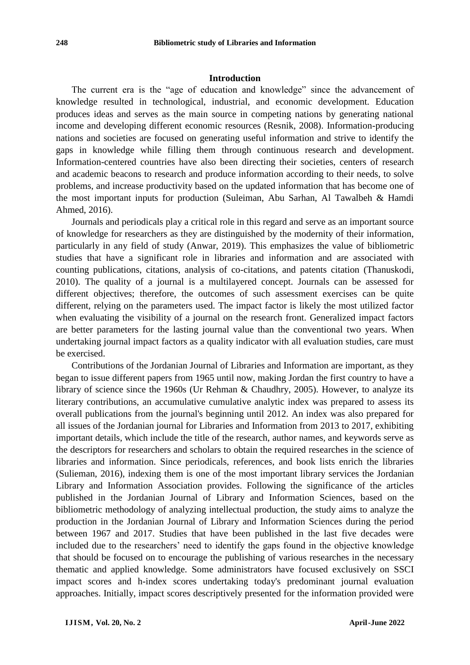## **Introduction**

The current era is the "age of education and knowledge" since the advancement of knowledge resulted in technological, industrial, and economic development. Education produces ideas and serves as the main source in competing nations by generating national income and developing different economic resources (Resnik, 2008). Information-producing nations and societies are focused on generating useful information and strive to identify the gaps in knowledge while filling them through continuous research and development. Information-centered countries have also been directing their societies, centers of research and academic beacons to research and produce information according to their needs, to solve problems, and increase productivity based on the updated information that has become one of the most important inputs for production (Suleiman, Abu Sarhan, Al Tawalbeh & Hamdi Ahmed, 2016).

Journals and periodicals play a critical role in this regard and serve as an important source of knowledge for researchers as they are distinguished by the modernity of their information, particularly in any field of study (Anwar, 2019). This emphasizes the value of bibliometric studies that have a significant role in libraries and information and are associated with counting publications, citations, analysis of co-citations, and patents citation (Thanuskodi, 2010). The quality of a journal is a multilayered concept. Journals can be assessed for different objectives; therefore, the outcomes of such assessment exercises can be quite different, relying on the parameters used. The impact factor is likely the most utilized factor when evaluating the visibility of a journal on the research front. Generalized impact factors are better parameters for the lasting journal value than the conventional two years. When undertaking journal impact factors as a quality indicator with all evaluation studies, care must be exercised.

Contributions of the Jordanian Journal of Libraries and Information are important, as they began to issue different papers from 1965 until now, making Jordan the first country to have a library of science since the 1960s (Ur Rehman & Chaudhry, 2005). However, to analyze its literary contributions, an accumulative cumulative analytic index was prepared to assess its overall publications from the journal's beginning until 2012. An index was also prepared for all issues of the Jordanian journal for Libraries and Information from 2013 to 2017, exhibiting important details, which include the title of the research, author names, and keywords serve as the descriptors for researchers and scholars to obtain the required researches in the science of libraries and information. Since periodicals, references, and book lists enrich the libraries (Sulieman, 2016), indexing them is one of the most important library services the Jordanian Library and Information Association provides. Following the significance of the articles published in the Jordanian Journal of Library and Information Sciences, based on the bibliometric methodology of analyzing intellectual production, the study aims to analyze the production in the Jordanian Journal of Library and Information Sciences during the period between 1967 and 2017. Studies that have been published in the last five decades were included due to the researchers' need to identify the gaps found in the objective knowledge that should be focused on to encourage the publishing of various researches in the necessary thematic and applied knowledge. Some administrators have focused exclusively on SSCI impact scores and h-index scores undertaking today's predominant journal evaluation approaches. Initially, impact scores descriptively presented for the information provided were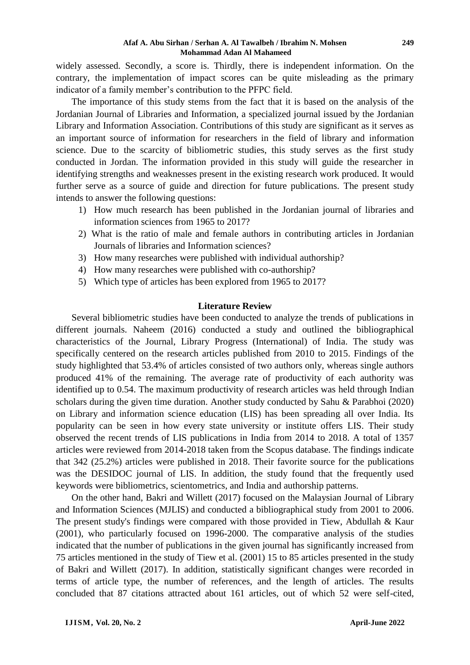#### **Afaf A. Abu Sirhan / Serhan A. Al Tawalbeh / Ibrahim N. Mohsen Mohammad Adan Al Mahameed**

widely assessed. Secondly, a score is. Thirdly, there is independent information. On the contrary, the implementation of impact scores can be quite misleading as the primary indicator of a family member's contribution to the PFPC field.

The importance of this study stems from the fact that it is based on the analysis of the Jordanian Journal of Libraries and Information, a specialized journal issued by the Jordanian Library and Information Association. Contributions of this study are significant as it serves as an important source of information for researchers in the field of library and information science. Due to the scarcity of bibliometric studies, this study serves as the first study conducted in Jordan. The information provided in this study will guide the researcher in identifying strengths and weaknesses present in the existing research work produced. It would further serve as a source of guide and direction for future publications. The present study intends to answer the following questions:

- 1) How much research has been published in the Jordanian journal of libraries and information sciences from 1965 to 2017?
- 2) What is the ratio of male and female authors in contributing articles in Jordanian Journals of libraries and Information sciences?
- 3) How many researches were published with individual authorship?
- 4) How many researches were published with co-authorship?
- 5) Which type of articles has been explored from 1965 to 2017?

## **Literature Review**

Several bibliometric studies have been conducted to analyze the trends of publications in different journals. Naheem (2016) conducted a study and outlined the bibliographical characteristics of the Journal, Library Progress (International) of India. The study was specifically centered on the research articles published from 2010 to 2015. Findings of the study highlighted that 53.4% of articles consisted of two authors only, whereas single authors produced 41% of the remaining. The average rate of productivity of each authority was identified up to 0.54. The maximum productivity of research articles was held through Indian scholars during the given time duration. Another study conducted by Sahu & Parabhoi (2020) on Library and information science education (LIS) has been spreading all over India. Its popularity can be seen in how every state university or institute offers LIS. Their study observed the recent trends of LIS publications in India from 2014 to 2018. A total of 1357 articles were reviewed from 2014-2018 taken from the Scopus database. The findings indicate that 342 (25.2%) articles were published in 2018. Their favorite source for the publications was the DESIDOC journal of LIS. In addition, the study found that the frequently used keywords were bibliometrics, scientometrics, and India and authorship patterns.

On the other hand, Bakri and Willett (2017) focused on the Malaysian Journal of Library and Information Sciences (MJLIS) and conducted a bibliographical study from 2001 to 2006. The present study's findings were compared with those provided in Tiew, Abdullah  $\&$  Kaur (2001), who particularly focused on 1996-2000. The comparative analysis of the studies indicated that the number of publications in the given journal has significantly increased from 75 articles mentioned in the study of Tiew et al. (2001) 15 to 85 articles presented in the study of Bakri and Willett (2017). In addition, statistically significant changes were recorded in terms of article type, the number of references, and the length of articles. The results concluded that 87 citations attracted about 161 articles, out of which 52 were self-cited,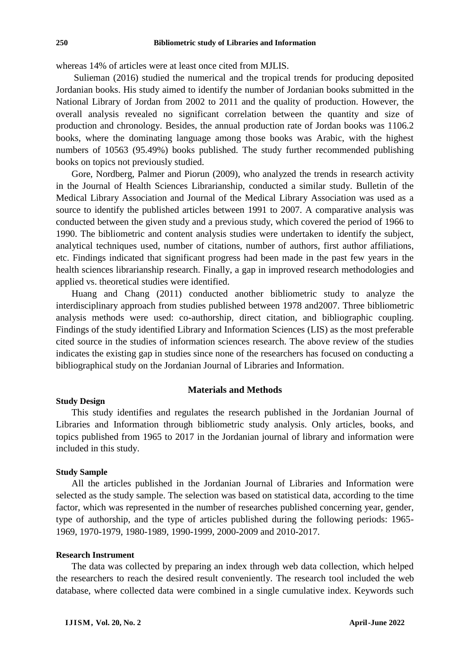whereas 14% of articles were at least once cited from MJLIS.

Sulieman (2016) studied the numerical and the tropical trends for producing deposited Jordanian books. His study aimed to identify the number of Jordanian books submitted in the National Library of Jordan from 2002 to 2011 and the quality of production. However, the overall analysis revealed no significant correlation between the quantity and size of production and chronology. Besides, the annual production rate of Jordan books was 1106.2 books, where the dominating language among those books was Arabic, with the highest numbers of 10563 (95.49%) books published. The study further recommended publishing books on topics not previously studied.

Gore, Nordberg, Palmer and Piorun (2009), who analyzed the trends in research activity in the Journal of Health Sciences Librarianship, conducted a similar study. Bulletin of the Medical Library Association and Journal of the Medical Library Association was used as a source to identify the published articles between 1991 to 2007. A comparative analysis was conducted between the given study and a previous study, which covered the period of 1966 to 1990. The bibliometric and content analysis studies were undertaken to identify the subject, analytical techniques used, number of citations, number of authors, first author affiliations, etc. Findings indicated that significant progress had been made in the past few years in the health sciences librarianship research. Finally, a gap in improved research methodologies and applied vs. theoretical studies were identified.

Huang and Chang (2011) conducted another bibliometric study to analyze the interdisciplinary approach from studies published between 1978 and2007. Three bibliometric analysis methods were used: co-authorship, direct citation, and bibliographic coupling. Findings of the study identified Library and Information Sciences (LIS) as the most preferable cited source in the studies of information sciences research. The above review of the studies indicates the existing gap in studies since none of the researchers has focused on conducting a bibliographical study on the Jordanian Journal of Libraries and Information.

#### **Materials and Methods**

### **Study Design**

This study identifies and regulates the research published in the Jordanian Journal of Libraries and Information through bibliometric study analysis. Only articles, books, and topics published from 1965 to 2017 in the Jordanian journal of library and information were included in this study.

#### **Study Sample**

All the articles published in the Jordanian Journal of Libraries and Information were selected as the study sample. The selection was based on statistical data, according to the time factor, which was represented in the number of researches published concerning year, gender, type of authorship, and the type of articles published during the following periods: 1965- 1969, 1970-1979, 1980-1989, 1990-1999, 2000-2009 and 2010-2017.

## **Research Instrument**

The data was collected by preparing an index through web data collection, which helped the researchers to reach the desired result conveniently. The research tool included the web database, where collected data were combined in a single cumulative index. Keywords such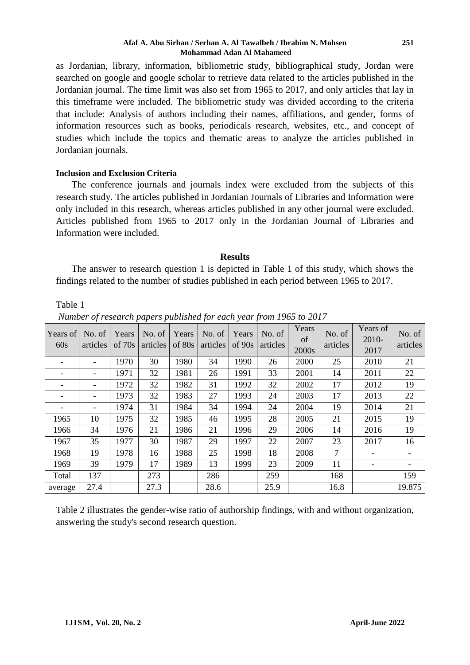#### **Afaf A. Abu Sirhan / Serhan A. Al Tawalbeh / Ibrahim N. Mohsen Mohammad Adan Al Mahameed**

as Jordanian, library, information, bibliometric study, bibliographical study, Jordan were searched on google and google scholar to retrieve data related to the articles published in the Jordanian journal. The time limit was also set from 1965 to 2017, and only articles that lay in this timeframe were included. The bibliometric study was divided according to the criteria that include: Analysis of authors including their names, affiliations, and gender, forms of information resources such as books, periodicals research, websites, etc., and concept of studies which include the topics and thematic areas to analyze the articles published in Jordanian journals.

## **Inclusion and Exclusion Criteria**

The conference journals and journals index were excluded from the subjects of this research study. The articles published in Jordanian Journals of Libraries and Information were only included in this research, whereas articles published in any other journal were excluded. Articles published from 1965 to 2017 only in the Jordanian Journal of Libraries and Information were included.

## **Results**

The answer to research question 1 is depicted in Table 1 of this study, which shows the findings related to the number of studies published in each period between 1965 to 2017.

## Table 1

*Number of research papers published for each year from 1965 to 2017*

| Years of<br>60s          | No. of<br>articles | Years<br>of $70s$ | No. of<br>articles | Years<br>of 80s | No. of<br>articles | Years<br>of 90s | No. of<br>articles | Years<br>of<br>2000s | No. of<br>articles | Years of<br>2010-<br>2017 | No. of<br>articles |
|--------------------------|--------------------|-------------------|--------------------|-----------------|--------------------|-----------------|--------------------|----------------------|--------------------|---------------------------|--------------------|
| $\overline{\phantom{a}}$ |                    | 1970              | 30                 | 1980            | 34                 | 1990            | 26                 | 2000                 | 25                 | 2010                      | 21                 |
|                          |                    | 1971              | 32                 | 1981            | 26                 | 1991            | 33                 | 2001                 | 14                 | 2011                      | 22                 |
|                          |                    | 1972              | 32                 | 1982            | 31                 | 1992            | 32                 | 2002                 | 17                 | 2012                      | 19                 |
|                          |                    | 1973              | 32                 | 1983            | 27                 | 1993            | 24                 | 2003                 | 17                 | 2013                      | 22                 |
|                          |                    | 1974              | 31                 | 1984            | 34                 | 1994            | 24                 | 2004                 | 19                 | 2014                      | 21                 |
| 1965                     | 10                 | 1975              | 32                 | 1985            | 46                 | 1995            | 28                 | 2005                 | 21                 | 2015                      | 19                 |
| 1966                     | 34                 | 1976              | 21                 | 1986            | 21                 | 1996            | 29                 | 2006                 | 14                 | 2016                      | 19                 |
| 1967                     | 35                 | 1977              | 30                 | 1987            | 29                 | 1997            | 22                 | 2007                 | 23                 | 2017                      | 16                 |
| 1968                     | 19                 | 1978              | 16                 | 1988            | 25                 | 1998            | 18                 | 2008                 | $\overline{7}$     |                           |                    |
| 1969                     | 39                 | 1979              | 17                 | 1989            | 13                 | 1999            | 23                 | 2009                 | 11                 | $\overline{\phantom{a}}$  |                    |
| Total                    | 137                |                   | 273                |                 | 286                |                 | 259                |                      | 168                |                           | 159                |
| average                  | 27.4               |                   | 27.3               |                 | 28.6               |                 | 25.9               |                      | 16.8               |                           | 19.875             |

Table 2 illustrates the gender-wise ratio of authorship findings, with and without organization, answering the study's second research question.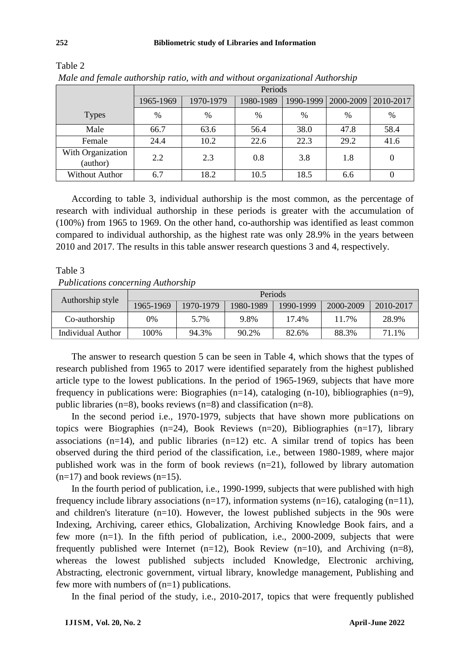| $\sim$ |
|--------|
|--------|

|                               | Periods       |           |               |           |               |           |  |  |
|-------------------------------|---------------|-----------|---------------|-----------|---------------|-----------|--|--|
|                               | 1965-1969     | 1970-1979 | 1980-1989     | 1990-1999 | 2000-2009     | 2010-2017 |  |  |
| <b>Types</b>                  | $\frac{0}{0}$ | $\%$      | $\frac{0}{0}$ | %         | $\frac{0}{0}$ | %         |  |  |
| Male                          | 66.7          | 63.6      | 56.4          | 38.0      | 47.8          | 58.4      |  |  |
| Female                        | 24.4          | 10.2      | 22.6          | 22.3      | 29.2          | 41.6      |  |  |
| With Organization<br>(author) | 2.2           | 2.3       | 0.8           | 3.8       | 1.8           | 0         |  |  |
| <b>Without Author</b>         | 6.7           | 18.2      | 10.5          | 18.5      | 6.6           | 0         |  |  |

Table 2 *Male and female authorship ratio, with and without organizational Authorship*

According to table 3, individual authorship is the most common, as the percentage of research with individual authorship in these periods is greater with the accumulation of (100%) from 1965 to 1969. On the other hand, co-authorship was identified as least common compared to individual authorship, as the highest rate was only 28.9% in the years between 2010 and 2017. The results in this table answer research questions 3 and 4, respectively.

*Publications concerning Authorship*

| Authorship style  | Periods   |           |           |           |           |           |  |  |  |
|-------------------|-----------|-----------|-----------|-----------|-----------|-----------|--|--|--|
|                   | 1965-1969 | 1970-1979 | 1980-1989 | 1990-1999 | 2000-2009 | 2010-2017 |  |  |  |
| Co-authorship     | 0%        | 5.7%      | 9.8%      | 17.4%     | 11.7%     | 28.9%     |  |  |  |
| Individual Author | 100%      | 94.3%     | 90.2%     | 82.6%     | 88.3%     | 71.1%     |  |  |  |

The answer to research question 5 can be seen in Table 4, which shows that the types of research published from 1965 to 2017 were identified separately from the highest published article type to the lowest publications. In the period of 1965-1969, subjects that have more frequency in publications were: Biographies (n=14), cataloging (n-10), bibliographies (n=9), public libraries (n=8), books reviews (n=8) and classification (n=8).

In the second period i.e., 1970-1979, subjects that have shown more publications on topics were Biographies (n=24), Book Reviews (n=20), Bibliographies (n=17), library associations  $(n=14)$ , and public libraries  $(n=12)$  etc. A similar trend of topics has been observed during the third period of the classification, i.e., between 1980-1989, where major published work was in the form of book reviews (n=21), followed by library automation  $(n=17)$  and book reviews  $(n=15)$ .

In the fourth period of publication, i.e., 1990-1999, subjects that were published with high frequency include library associations (n=17), information systems (n=16), cataloging (n=11), and children's literature (n=10). However, the lowest published subjects in the 90s were Indexing, Archiving, career ethics, Globalization, Archiving Knowledge Book fairs, and a few more (n=1). In the fifth period of publication, i.e., 2000-2009, subjects that were frequently published were Internet  $(n=12)$ , Book Review  $(n=10)$ , and Archiving  $(n=8)$ , whereas the lowest published subjects included Knowledge, Electronic archiving, Abstracting, electronic government, virtual library, knowledge management, Publishing and few more with numbers of (n=1) publications.

In the final period of the study, i.e., 2010-2017, topics that were frequently published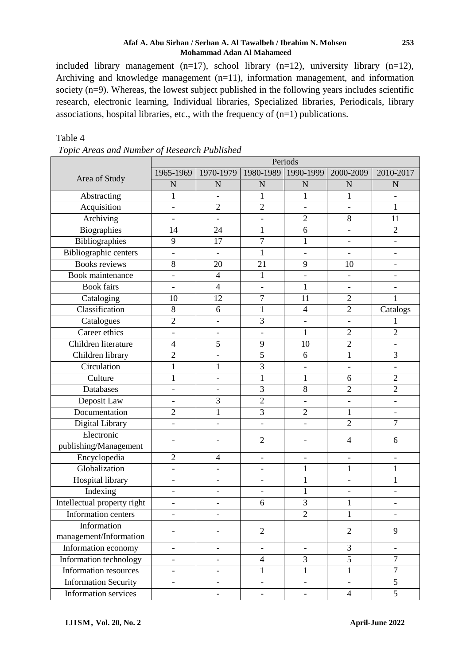### **Afaf A. Abu Sirhan / Serhan A. Al Tawalbeh / Ibrahim N. Mohsen Mohammad Adan Al Mahameed**

included library management (n=17), school library (n=12), university library (n=12), Archiving and knowledge management (n=11), information management, and information society (n=9). Whereas, the lowest subject published in the following years includes scientific research, electronic learning, Individual libraries, Specialized libraries, Periodicals, library associations, hospital libraries, etc., with the frequency of (n=1) publications.

|                                       | Periods                  |                          |                          |                          |                              |                          |  |  |
|---------------------------------------|--------------------------|--------------------------|--------------------------|--------------------------|------------------------------|--------------------------|--|--|
|                                       | 1965-1969                | 1970-1979                | 1980-1989                | 1990-1999                | 2000-2009                    | 2010-2017                |  |  |
| Area of Study                         | N                        | $\mathbf N$              | $\mathbf N$              | $\mathbf N$              | $\mathbf N$                  | N                        |  |  |
| Abstracting                           | 1                        |                          | $\mathbf{1}$             | $\mathbf{1}$             | $\mathbf{1}$                 |                          |  |  |
| Acquisition                           | $\overline{\phantom{a}}$ | $\overline{2}$           | $\overline{2}$           | $\overline{\phantom{a}}$ | $\qquad \qquad \blacksquare$ | 1                        |  |  |
| Archiving                             | $\overline{\phantom{a}}$ |                          | $\overline{\phantom{0}}$ | $\overline{2}$           | 8                            | 11                       |  |  |
| <b>Biographies</b>                    | 14                       | 24                       | $\mathbf{1}$             | 6                        | $\overline{\phantom{a}}$     | $\overline{2}$           |  |  |
| <b>Bibliographies</b>                 | 9                        | 17                       | $\overline{7}$           | $\mathbf{1}$             | $\overline{\phantom{a}}$     |                          |  |  |
| <b>Bibliographic centers</b>          |                          |                          | 1                        |                          |                              |                          |  |  |
| <b>Books</b> reviews                  | 8                        | 20                       | 21                       | 9                        | 10                           |                          |  |  |
| <b>Book</b> maintenance               | $\overline{\phantom{0}}$ | $\overline{4}$           | $\mathbf{1}$             |                          | $\overline{a}$               |                          |  |  |
| <b>Book fairs</b>                     | $\overline{\phantom{a}}$ | $\overline{4}$           | $\overline{\phantom{0}}$ | $\mathbf{1}$             | $\blacksquare$               |                          |  |  |
| Cataloging                            | 10                       | 12                       | $\overline{7}$           | 11                       | $\overline{2}$               | 1                        |  |  |
| Classification                        | 8                        | 6                        | 1                        | $\overline{4}$           | $\overline{2}$               | Catalogs                 |  |  |
| Catalogues                            | $\overline{2}$           | $\overline{\phantom{a}}$ | 3                        | $\overline{\phantom{0}}$ | $\qquad \qquad \blacksquare$ |                          |  |  |
| Career ethics                         | $\overline{\phantom{a}}$ |                          | $\overline{\phantom{0}}$ | $\mathbf{1}$             | $\overline{2}$               | $\overline{2}$           |  |  |
| Children literature                   | $\overline{4}$           | $\overline{5}$           | 9                        | 10                       | $\overline{c}$               |                          |  |  |
| Children library                      | $\overline{2}$           |                          | 5                        | 6                        | $\mathbf{1}$                 | 3                        |  |  |
| Circulation                           | $\mathbf{1}$             | $\mathbf{1}$             | 3                        |                          |                              |                          |  |  |
| Culture                               | 1                        |                          | 1                        | 1                        | 6                            | $\overline{2}$           |  |  |
| Databases                             | $\overline{\phantom{a}}$ |                          | 3                        | 8                        | $\overline{2}$               | $\overline{2}$           |  |  |
| Deposit Law                           | $\overline{\phantom{0}}$ | 3                        | $\overline{2}$           |                          | $\overline{\phantom{0}}$     |                          |  |  |
| Documentation                         | $\overline{2}$           | 1                        | 3                        | $\overline{2}$           | 1                            |                          |  |  |
| Digital Library                       |                          |                          |                          |                          | $\overline{2}$               | $\overline{7}$           |  |  |
| Electronic<br>publishing/Management   |                          |                          | $\overline{2}$           |                          | 4                            | 6                        |  |  |
| Encyclopedia                          | $\overline{2}$           | $\overline{4}$           | $\overline{\phantom{0}}$ |                          | $\qquad \qquad \blacksquare$ |                          |  |  |
| Globalization                         | $\overline{\phantom{a}}$ |                          | $\overline{\phantom{0}}$ | $\mathbf{1}$             | $\mathbf{1}$                 | $\mathbf{1}$             |  |  |
| Hospital library                      |                          |                          |                          | $\mathbf{1}$             |                              | 1                        |  |  |
| <b>Indexing</b>                       | $\overline{\phantom{a}}$ |                          | $\overline{\phantom{0}}$ | 1                        | $\qquad \qquad \blacksquare$ |                          |  |  |
| Intellectual property right           | $\overline{\phantom{0}}$ |                          | 6                        | 3                        | $\mathbf{1}$                 |                          |  |  |
| Information centers                   |                          |                          |                          | 2                        | $\mathbf{1}$                 |                          |  |  |
| Information<br>management/Information |                          |                          | $\mathfrak{2}$           |                          | $\overline{2}$               | 9                        |  |  |
| Information economy                   | $\overline{\phantom{0}}$ | $\overline{\phantom{a}}$ | $\overline{\phantom{0}}$ | $\overline{\phantom{a}}$ | 3                            | $\overline{\phantom{a}}$ |  |  |
| Information technology                | $\overline{\phantom{0}}$ |                          | $\overline{4}$           | 3                        | $\overline{5}$               | $\overline{7}$           |  |  |
| Information resources                 | $\overline{\phantom{0}}$ |                          | $\mathbf{1}$             | $\mathbf{1}$             | $\mathbf{1}$                 | $\tau$                   |  |  |
| <b>Information Security</b>           | $\overline{\phantom{a}}$ | $\overline{\phantom{a}}$ | $\overline{\phantom{0}}$ | $\qquad \qquad -$        | $\blacksquare$               | $\mathfrak s$            |  |  |
| Information services                  |                          |                          |                          |                          | $\overline{4}$               | $\overline{5}$           |  |  |

## Table 4 *Topic Areas and Number of Research Published*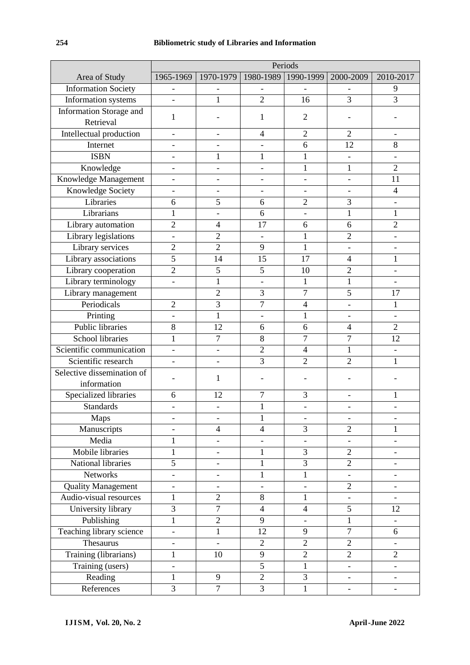| Area of Study                  |                              | 1965-1969   1970-1979   1980-1989   1990-1999   2000-2009 |                          |                          |                              | 2010-2017                |
|--------------------------------|------------------------------|-----------------------------------------------------------|--------------------------|--------------------------|------------------------------|--------------------------|
| <b>Information Society</b>     | $\qquad \qquad -$            |                                                           |                          |                          |                              | 9                        |
| Information systems            |                              | $\mathbf{1}$                                              | $\overline{2}$           | 16                       | $\overline{3}$               | $\overline{3}$           |
| <b>Information Storage and</b> | $\mathbf{1}$                 |                                                           | 1                        | $\overline{2}$           |                              |                          |
| Retrieval                      |                              |                                                           |                          |                          |                              |                          |
| Intellectual production        | $\overline{a}$               |                                                           | $\overline{4}$           | $\overline{2}$           | $\overline{2}$               |                          |
| Internet                       | $\overline{\phantom{0}}$     |                                                           |                          | 6                        | 12                           | 8                        |
| <b>ISBN</b>                    | $\overline{a}$               | $\mathbf{1}$                                              | 1                        | $\mathbf 1$              | $\overline{a}$               |                          |
| Knowledge                      | $\overline{a}$               |                                                           |                          | $\mathbf{1}$             | $\mathbf{1}$                 | $\overline{2}$           |
| Knowledge Management           | $\qquad \qquad -$            | ÷,                                                        | $\overline{\phantom{0}}$ | $\overline{\phantom{0}}$ | $\overline{\phantom{a}}$     | 11                       |
| <b>Knowledge Society</b>       | $\overline{a}$               |                                                           | $\overline{\phantom{0}}$ |                          |                              | 4                        |
| Libraries                      | 6                            | 5                                                         | 6                        | $\overline{2}$           | 3                            |                          |
| Librarians                     | $\mathbf{1}$                 | $\overline{a}$                                            | 6                        | $\overline{a}$           | $\mathbf{1}$                 | $\mathbf{1}$             |
| Library automation             | $\overline{2}$               | $\overline{4}$                                            | 17                       | 6                        | 6                            | $\overline{2}$           |
| Library legislations           | $\overline{a}$               | $\overline{2}$                                            | $\overline{\phantom{a}}$ | $\mathbf{1}$             | $\overline{c}$               |                          |
| Library services               | $\overline{2}$               | $\overline{2}$                                            | 9                        | $\mathbf{1}$             | $\overline{\phantom{a}}$     |                          |
| Library associations           | $\overline{5}$               | 14                                                        | 15                       | 17                       | $\overline{4}$               | $\mathbf{1}$             |
| Library cooperation            | $\overline{2}$               | 5                                                         | 5                        | 10                       | $\overline{c}$               |                          |
| Library terminology            |                              | $\mathbf{1}$                                              |                          | $\mathbf{1}$             | $\mathbf{1}$                 |                          |
| Library management             |                              | $\overline{2}$                                            | 3                        | $\overline{7}$           | 5                            | 17                       |
| Periodicals                    | $\overline{2}$               | $\overline{3}$                                            | 7                        | $\overline{4}$           | $\overline{a}$               | 1                        |
| Printing                       | $\overline{\phantom{0}}$     | $\mathbf{1}$                                              |                          | $\mathbf{1}$             | $\qquad \qquad \blacksquare$ |                          |
| <b>Public libraries</b>        | 8                            | 12                                                        | 6                        | 6                        | $\overline{4}$               | $\overline{2}$           |
| <b>School libraries</b>        | $\mathbf{1}$                 | 7                                                         | 8                        | 7                        | $\overline{7}$               | 12                       |
| Scientific communication       | $\qquad \qquad \blacksquare$ | $\qquad \qquad -$                                         | $\overline{2}$           | $\overline{4}$           | 1                            |                          |
| Scientific research            | $\overline{a}$               |                                                           | 3                        | $\overline{2}$           | $\overline{2}$               | 1                        |
| Selective dissemination of     |                              | 1                                                         |                          |                          |                              |                          |
| information                    |                              |                                                           |                          |                          |                              |                          |
| Specialized libraries          | 6                            | 12                                                        | 7                        | 3                        |                              |                          |
| <b>Standards</b>               | $\overline{\phantom{0}}$     | ÷,                                                        | 1                        |                          |                              |                          |
| Maps                           |                              |                                                           | 1                        |                          |                              |                          |
| Manuscripts                    |                              | 4                                                         | $\overline{4}$           | 3                        | $\overline{2}$               | 1                        |
| Media                          | 1                            |                                                           |                          |                          |                              |                          |
| Mobile libraries               | $\mathbf{1}$                 |                                                           | $\mathbf{1}$             | 3                        | $\overline{2}$               |                          |
| National libraries             | $\overline{5}$               | $\overline{\phantom{0}}$                                  | $\mathbf{1}$             | $\overline{3}$           | $\sqrt{2}$                   |                          |
| Networks                       | $\overline{\phantom{0}}$     |                                                           | 1                        | $\mathbf{1}$             | $\frac{1}{2}$                |                          |
| <b>Quality Management</b>      |                              |                                                           |                          |                          | $\overline{2}$               |                          |
| Audio-visual resources         | $\mathbf{1}$                 | $\overline{2}$                                            | $8\,$                    | 1                        | $\overline{a}$               |                          |
| University library             | $\overline{3}$               | $\overline{7}$                                            | $\overline{4}$           | $\overline{4}$           | 5                            | 12                       |
| Publishing                     | $\mathbf{1}$                 | $\overline{2}$                                            | 9                        | $\qquad \qquad -$        | $\mathbf 1$                  |                          |
| Teaching library science       | $\overline{a}$               | $\mathbf{1}$                                              | 12                       | 9                        | 7                            | 6                        |
| Thesaurus                      |                              |                                                           | $\overline{2}$           | $\overline{2}$           | $\overline{2}$               |                          |
| Training (librarians)          | $\mathbf{1}$                 | 10                                                        | 9                        | $\overline{2}$           | $\overline{2}$               | $\overline{2}$           |
| Training (users)               | $\overline{\phantom{0}}$     |                                                           | 5                        | $\mathbf{1}$             | $\blacksquare$               |                          |
| Reading                        | 1                            | 9                                                         | $\mathfrak{2}$           | $\mathfrak{Z}$           | $\overline{\phantom{a}}$     | $\overline{\phantom{0}}$ |
| References                     | 3                            | $\overline{7}$                                            | $\overline{3}$           | $\mathbf{1}$             |                              | $\overline{\phantom{0}}$ |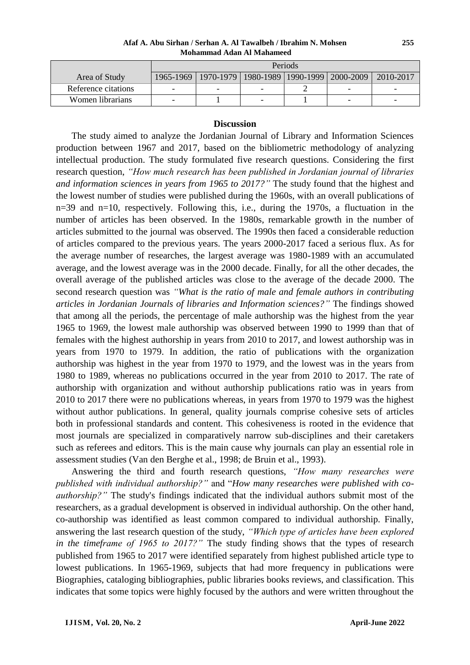**Afaf A. Abu Sirhan / Serhan A. Al Tawalbeh / Ibrahim N. Mohsen Mohammad Adan Al Mahameed**

|                     | Periods |                                                           |  |  |                          |           |
|---------------------|---------|-----------------------------------------------------------|--|--|--------------------------|-----------|
| Area of Study       |         | 1965-1969   1970-1979   1980-1989   1990-1999   2000-2009 |  |  |                          | 2010-2017 |
| Reference citations |         | -                                                         |  |  | $\overline{\phantom{0}}$ |           |
| Women librarians    |         |                                                           |  |  | -                        |           |

#### **Discussion**

The study aimed to analyze the Jordanian Journal of Library and Information Sciences production between 1967 and 2017, based on the bibliometric methodology of analyzing intellectual production. The study formulated five research questions. Considering the first research question, *"How much research has been published in Jordanian journal of libraries and information sciences in years from 1965 to 2017?"* The study found that the highest and the lowest number of studies were published during the 1960s, with an overall publications of n=39 and n=10, respectively. Following this, i.e., during the 1970s, a fluctuation in the number of articles has been observed. In the 1980s, remarkable growth in the number of articles submitted to the journal was observed. The 1990s then faced a considerable reduction of articles compared to the previous years. The years 2000-2017 faced a serious flux. As for the average number of researches, the largest average was 1980-1989 with an accumulated average, and the lowest average was in the 2000 decade. Finally, for all the other decades, the overall average of the published articles was close to the average of the decade 2000. The second research question was *"What is the ratio of male and female authors in contributing articles in Jordanian Journals of libraries and Information sciences?"* The findings showed that among all the periods, the percentage of male authorship was the highest from the year 1965 to 1969, the lowest male authorship was observed between 1990 to 1999 than that of females with the highest authorship in years from 2010 to 2017, and lowest authorship was in years from 1970 to 1979. In addition, the ratio of publications with the organization authorship was highest in the year from 1970 to 1979, and the lowest was in the years from 1980 to 1989, whereas no publications occurred in the year from 2010 to 2017. The rate of authorship with organization and without authorship publications ratio was in years from 2010 to 2017 there were no publications whereas, in years from 1970 to 1979 was the highest without author publications. In general, quality journals comprise cohesive sets of articles both in professional standards and content. This cohesiveness is rooted in the evidence that most journals are specialized in comparatively narrow sub-disciplines and their caretakers such as referees and editors. This is the main cause why journals can play an essential role in assessment studies (Van den Berghe et al., 1998; de Bruin et al., 1993).

Answering the third and fourth research questions, *"How many researches were published with individual authorship?"* and "*How many researches were published with coauthorship?"* The study's findings indicated that the individual authors submit most of the researchers, as a gradual development is observed in individual authorship. On the other hand, co-authorship was identified as least common compared to individual authorship. Finally, answering the last research question of the study, *"Which type of articles have been explored in the timeframe of 1965 to 2017?"* The study finding shows that the types of research published from 1965 to 2017 were identified separately from highest published article type to lowest publications. In 1965-1969, subjects that had more frequency in publications were Biographies, cataloging bibliographies, public libraries books reviews, and classification. This indicates that some topics were highly focused by the authors and were written throughout the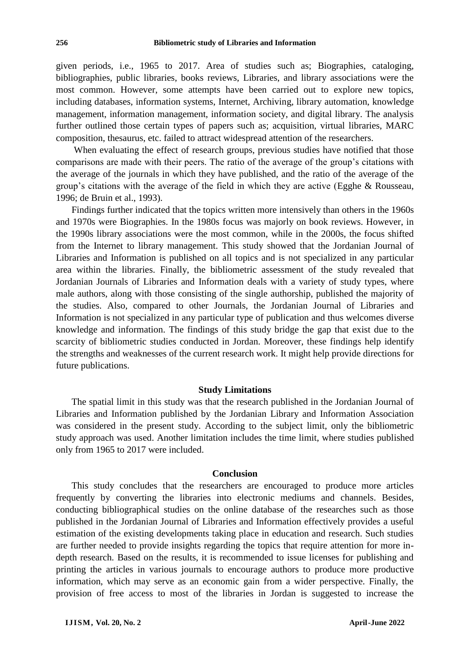given periods, i.e., 1965 to 2017. Area of studies such as; Biographies, cataloging, bibliographies, public libraries, books reviews, Libraries, and library associations were the most common. However, some attempts have been carried out to explore new topics, including databases, information systems, Internet, Archiving, library automation, knowledge management, information management, information society, and digital library. The analysis further outlined those certain types of papers such as; acquisition, virtual libraries, MARC composition, thesaurus, etc. failed to attract widespread attention of the researchers.

When evaluating the effect of research groups, previous studies have notified that those comparisons are made with their peers. The ratio of the average of the group's citations with the average of the journals in which they have published, and the ratio of the average of the group's citations with the average of the field in which they are active (Egghe & Rousseau, 1996; de Bruin et al., 1993).

Findings further indicated that the topics written more intensively than others in the 1960s and 1970s were Biographies. In the 1980s focus was majorly on book reviews. However, in the 1990s library associations were the most common, while in the 2000s, the focus shifted from the Internet to library management. This study showed that the Jordanian Journal of Libraries and Information is published on all topics and is not specialized in any particular area within the libraries. Finally, the bibliometric assessment of the study revealed that Jordanian Journals of Libraries and Information deals with a variety of study types, where male authors, along with those consisting of the single authorship, published the majority of the studies. Also, compared to other Journals, the Jordanian Journal of Libraries and Information is not specialized in any particular type of publication and thus welcomes diverse knowledge and information. The findings of this study bridge the gap that exist due to the scarcity of bibliometric studies conducted in Jordan. Moreover, these findings help identify the strengths and weaknesses of the current research work. It might help provide directions for future publications.

#### **Study Limitations**

The spatial limit in this study was that the research published in the Jordanian Journal of Libraries and Information published by the Jordanian Library and Information Association was considered in the present study. According to the subject limit, only the bibliometric study approach was used. Another limitation includes the time limit, where studies published only from 1965 to 2017 were included.

#### **Conclusion**

This study concludes that the researchers are encouraged to produce more articles frequently by converting the libraries into electronic mediums and channels. Besides, conducting bibliographical studies on the online database of the researches such as those published in the Jordanian Journal of Libraries and Information effectively provides a useful estimation of the existing developments taking place in education and research. Such studies are further needed to provide insights regarding the topics that require attention for more indepth research. Based on the results, it is recommended to issue licenses for publishing and printing the articles in various journals to encourage authors to produce more productive information, which may serve as an economic gain from a wider perspective. Finally, the provision of free access to most of the libraries in Jordan is suggested to increase the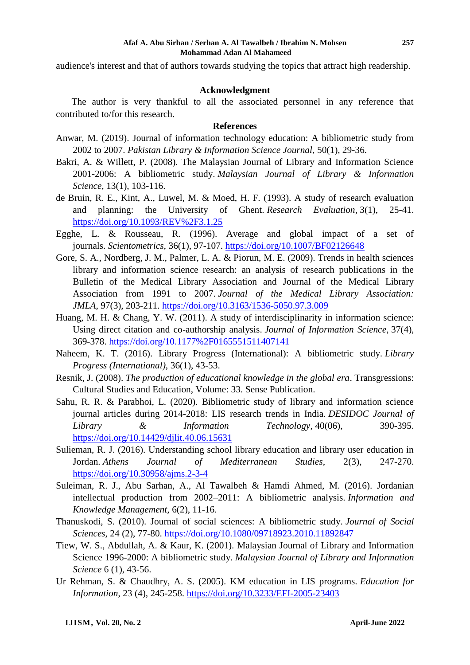audience's interest and that of authors towards studying the topics that attract high readership.

### **Acknowledgment**

The author is very thankful to all the associated personnel in any reference that contributed to/for this research.

## **References**

- Anwar, M. (2019). Journal of information technology education: A bibliometric study from 2002 to 2007. *Pakistan Library & Information Science Journal*, 50(1), 29-36.
- Bakri, A. & Willett, P. (2008). The Malaysian Journal of Library and Information Science 2001-2006: A bibliometric study. *Malaysian Journal of Library & Information Science*, 13(1), 103-116.
- de Bruin, R. E., Kint, A., Luwel, M. & Moed, H. F. (1993). A study of research evaluation and planning: the University of Ghent. *Research Evaluation*, 3(1), 25-41. <https://doi.org/10.1093/REV%2F3.1.25>
- Egghe, L. & Rousseau, R. (1996). Average and global impact of a set of journals. *Scientometrics*, 36(1), 97-107. <https://doi.org/10.1007/BF02126648>
- Gore, S. A., Nordberg, J. M., Palmer, L. A. & Piorun, M. E. (2009). Trends in health sciences library and information science research: an analysis of research publications in the Bulletin of the Medical Library Association and Journal of the Medical Library Association from 1991 to 2007. *Journal of the Medical Library Association: JMLA*, 97(3), 203-211.<https://doi.org/10.3163/1536-5050.97.3.009>
- Huang, M. H. & Chang, Y. W. (2011). A study of interdisciplinarity in information science: Using direct citation and co-authorship analysis. *Journal of Information Science*, 37(4), 369-378. <https://doi.org/10.1177%2F0165551511407141>
- Naheem, K. T. (2016). Library Progress (International): A bibliometric study. *Library Progress (International)*, 36(1), 43-53.
- Resnik, J. (2008). *The production of educational knowledge in the global era*. Transgressions: Cultural Studies and Education, Volume: 33. Sense Publication.
- Sahu, R. R. & Parabhoi, L. (2020). Bibliometric study of library and information science journal articles during 2014-2018: LIS research trends in India. *DESIDOC Journal of Library & Information Technology*, 40(06), 390-395. <https://doi.org/10.14429/djlit.40.06.15631>
- Sulieman, R. J. (2016). Understanding school library education and library user education in Jordan. *Athens Journal of Mediterranean Studies*, 2(3), 247-270. <https://doi.org/10.30958/ajms.2-3-4>
- Suleiman, R. J., Abu Sarhan, A., Al Tawalbeh & Hamdi Ahmed, M. (2016). Jordanian intellectual production from 2002–2011: A bibliometric analysis. *Information and Knowledge Management*, 6(2), 11-16.
- Thanuskodi, S. (2010). Journal of social sciences: A bibliometric study. *Journal of Social Sciences*, 24 (2), 77-80.<https://doi.org/10.1080/09718923.2010.11892847>
- Tiew, W. S., Abdullah, A. & Kaur, K. (2001). Malaysian Journal of Library and Information Science 1996-2000: A bibliometric study. *Malaysian Journal of Library and Information Science* 6 (1), 43-56.
- Ur Rehman, S. & Chaudhry, A. S. (2005). KM education in LIS programs. *Education for Information*, 23 (4), 245-258.<https://doi.org/10.3233/EFI-2005-23403>